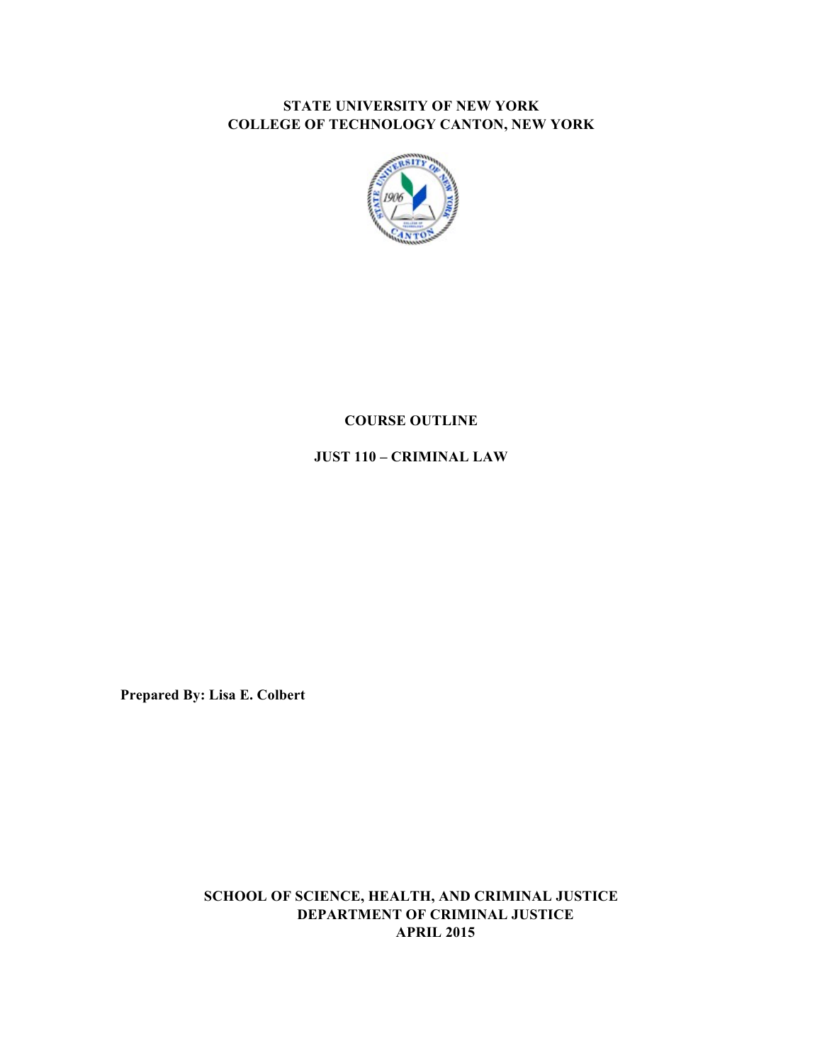## **STATE UNIVERSITY OF NEW YORK COLLEGE OF TECHNOLOGY CANTON, NEW YORK**



## **COURSE OUTLINE**

 **JUST 110 – CRIMINAL LAW** 

 **Prepared By: Lisa E. Colbert** 

 **SCHOOL OF SCIENCE, HEALTH, AND CRIMINAL JUSTICE DEPARTMENT OF CRIMINAL JUSTICE APRIL 2015**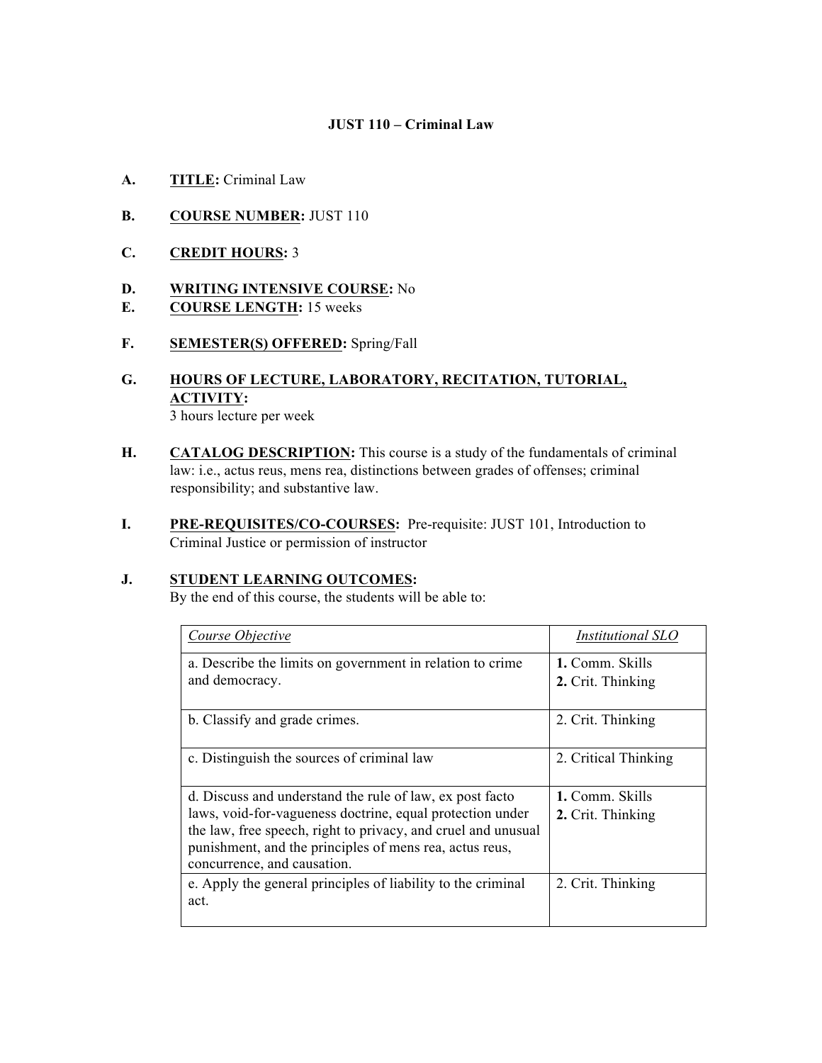## **JUST 110 – Criminal Law**

- **A. TITLE:** Criminal Law
- **B. COURSE NUMBER:** JUST 110
- **C. CREDIT HOURS:** 3

## **D. WRITING INTENSIVE COURSE:** No

- **E. COURSE LENGTH:** 15 weeks
- **F. SEMESTER(S) OFFERED:** Spring/Fall

### **G. HOURS OF LECTURE, LABORATORY, RECITATION, TUTORIAL,**  3 hours lecture per week **ACTIVITY:**

- **H. CATALOG DESCRIPTION:** This course is a study of the fundamentals of criminal law: i.e., actus reus, mens rea, distinctions between grades of offenses; criminal responsibility; and substantive law.
- **I. PRE-REQUISITES/CO-COURSES:** Pre-requisite: JUST 101, Introduction to Criminal Justice or permission of instructor

### **J. STUDENT LEARNING OUTCOMES:**

By the end of this course, the students will be able to:

| Course Objective                                                                                                                                                                                                                                                                 | Institutional SLO                    |
|----------------------------------------------------------------------------------------------------------------------------------------------------------------------------------------------------------------------------------------------------------------------------------|--------------------------------------|
| a. Describe the limits on government in relation to crime<br>and democracy.                                                                                                                                                                                                      | 1. Comm. Skills<br>2. Crit. Thinking |
|                                                                                                                                                                                                                                                                                  |                                      |
| b. Classify and grade crimes.                                                                                                                                                                                                                                                    | 2. Crit. Thinking                    |
| c. Distinguish the sources of criminal law                                                                                                                                                                                                                                       | 2. Critical Thinking                 |
| d. Discuss and understand the rule of law, ex post facto<br>laws, void-for-vagueness doctrine, equal protection under<br>the law, free speech, right to privacy, and cruel and unusual<br>punishment, and the principles of mens rea, actus reus,<br>concurrence, and causation. | 1. Comm. Skills<br>2. Crit. Thinking |
| e. Apply the general principles of liability to the criminal<br>act.                                                                                                                                                                                                             | 2. Crit. Thinking                    |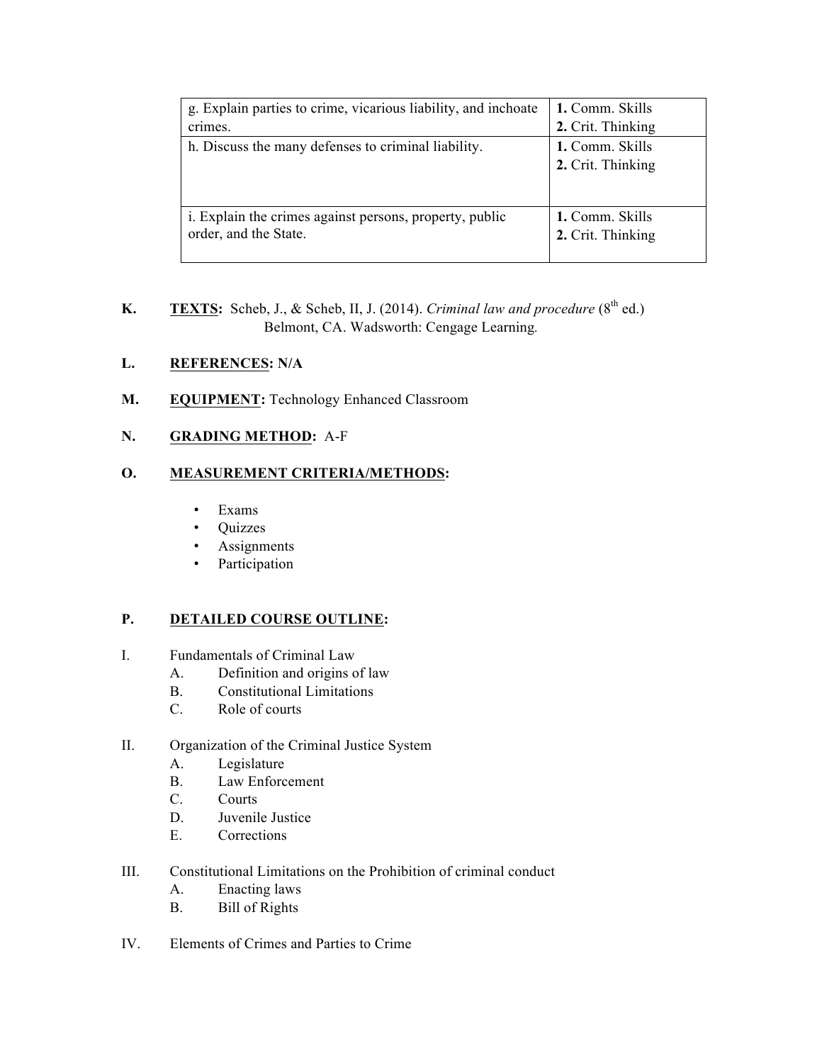| g. Explain parties to crime, vicarious liability, and inchoate | 1. Comm. Skills                      |
|----------------------------------------------------------------|--------------------------------------|
| crimes.                                                        | 2. Crit. Thinking                    |
| h. Discuss the many defenses to criminal liability.            | 1. Comm. Skills<br>2. Crit. Thinking |
| i. Explain the crimes against persons, property, public        | 1. Comm. Skills                      |
| order, and the State.                                          | 2. Crit. Thinking                    |

**K. TEXTS:** Scheb, J., & Scheb, II, J. (2014). *Criminal law and procedure*  $(8^{th}$  ed.) Belmont, CA. Wadsworth: Cengage Learning*.* 

### **L. REFERENCES: N/A**

M. EQUIPMENT: Technology Enhanced Classroom

## **N. GRADING METHOD:** A-F

### **O. MEASUREMENT CRITERIA/METHODS:**

- Exams
- Quizzes
- Assignments
- Participation

#### **P. DETAILED COURSE OUTLINE:**

- I. Fundamentals of Criminal Law
	- A. Definition and origins of law
	- B. Constitutional Limitations
	- C. Role of courts
- II. Organization of the Criminal Justice System
	- A. Legislature
	- B. Law Enforcement
	- C. Courts
	- D. Juvenile Justice
	- E. Corrections
- III. Constitutional Limitations on the Prohibition of criminal conduct
	- A. Enacting laws
	- B. Bill of Rights
- IV. Elements of Crimes and Parties to Crime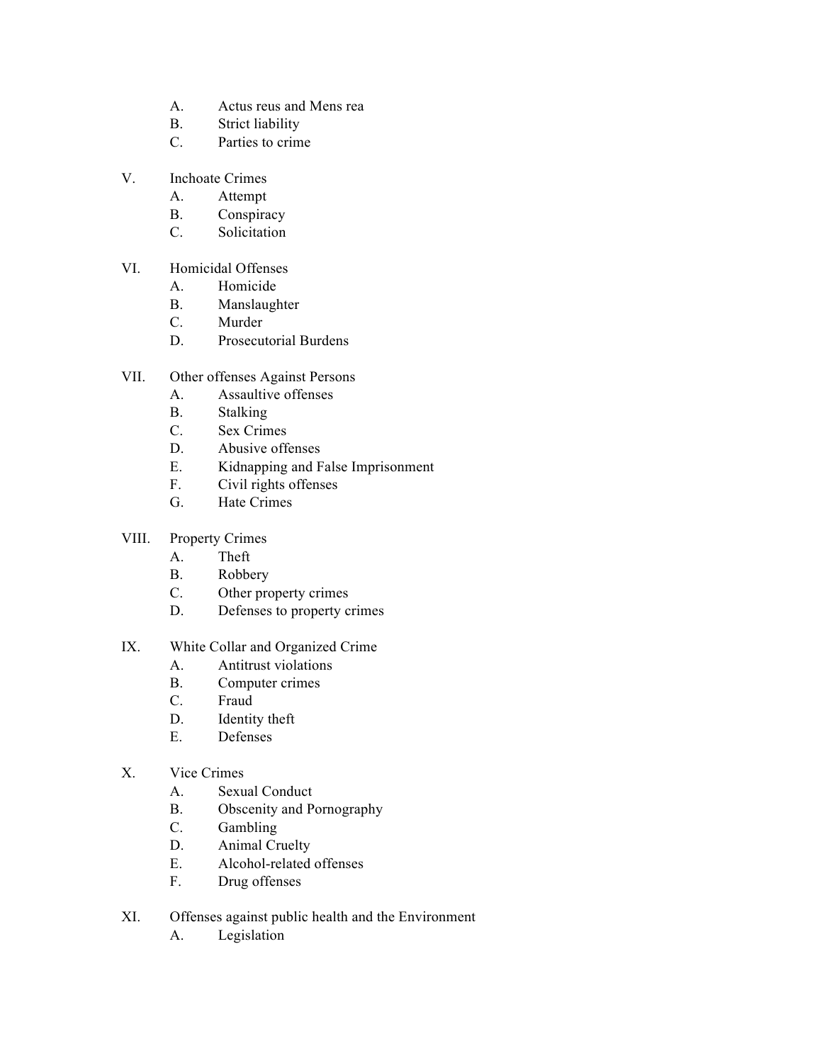- A. Actus reus and Mens rea
- B. Strict liability
- C. Parties to crime
- V. Inchoate Crimes
	- A. Attempt
	- B. Conspiracy
	- C. Solicitation
- VI. Homicidal Offenses
	- A. Homicide
	- B. Manslaughter
	- C. Murder
	- D. Prosecutorial Burdens
- VII. Other offenses Against Persons
	- A. Assaultive offenses
	- B. Stalking
	- C. Sex Crimes
	- D. Abusive offenses
	- E. Kidnapping and False Imprisonment
	- F. Civil rights offenses
	- G. Hate Crimes
- VIII. Property Crimes
	- A. Theft
	- B. Robbery
	- C. Other property crimes
	- D. Defenses to property crimes
- IX. White Collar and Organized Crime
	- A. Antitrust violations
	- B. Computer crimes C. Fraud
	-
	- D. Identity theft
	- E. Defenses
- X. Vice Crimes
	- A. Sexual Conduct
	- B. Obscenity and Pornography
	- C. Gambling
	- D. Animal Cruelty
	- E. Alcohol-related offenses
	- F. Drug offenses
- XI. Offenses against public health and the Environment
	- A. Legislation